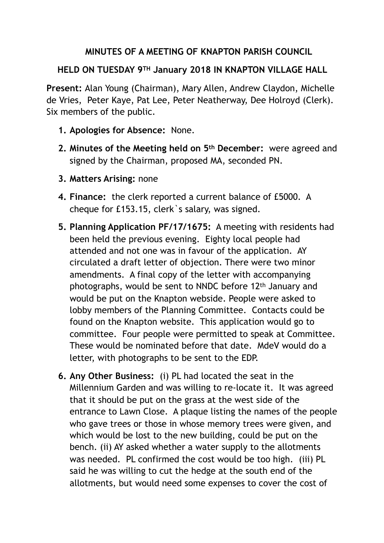## **MINUTES OF A MEETING OF KNAPTON PARISH COUNCIL**

## **HELD ON TUESDAY 9TH January 2018 IN KNAPTON VILLAGE HALL**

**Present:** Alan Young (Chairman), Mary Allen, Andrew Claydon, Michelle de Vries, Peter Kaye, Pat Lee, Peter Neatherway, Dee Holroyd (Clerk). Six members of the public.

- **1. Apologies for Absence:** None.
- **2. Minutes of the Meeting held on 5th December:** were agreed and signed by the Chairman, proposed MA, seconded PN.
- **3. Matters Arising:** none
- **4. Finance:** the clerk reported a current balance of £5000. A cheque for £153.15, clerk`s salary, was signed.
- **5. Planning Application PF/17/1675:** A meeting with residents had been held the previous evening. Eighty local people had attended and not one was in favour of the application. AY circulated a draft letter of objection. There were two minor amendments. A final copy of the letter with accompanying photographs, would be sent to NNDC before 12th January and would be put on the Knapton webside. People were asked to lobby members of the Planning Committee. Contacts could be found on the Knapton website. This application would go to committee. Four people were permitted to speak at Committee. These would be nominated before that date. MdeV would do a letter, with photographs to be sent to the EDP.
- **6. Any Other Business:** (i) PL had located the seat in the Millennium Garden and was willing to re-locate it. It was agreed that it should be put on the grass at the west side of the entrance to Lawn Close. A plaque listing the names of the people who gave trees or those in whose memory trees were given, and which would be lost to the new building, could be put on the bench. (ii) AY asked whether a water supply to the allotments was needed. PL confirmed the cost would be too high. (iii) PL said he was willing to cut the hedge at the south end of the allotments, but would need some expenses to cover the cost of